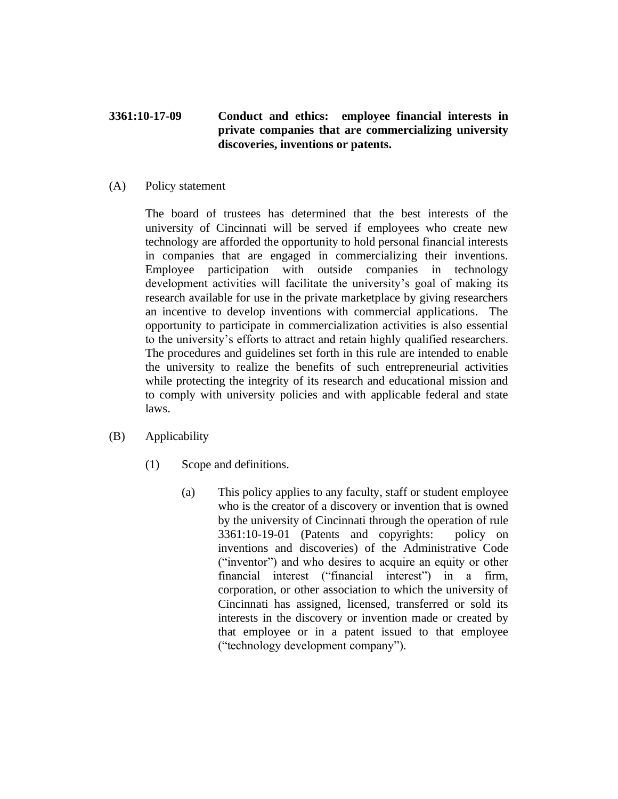## **3361:10-17-09 Conduct and ethics: employee financial interests in private companies that are commercializing university discoveries, inventions or patents.**

## (A) Policy statement

The board of trustees has determined that the best interests of the university of Cincinnati will be served if employees who create new technology are afforded the opportunity to hold personal financial interests in companies that are engaged in commercializing their inventions. Employee participation with outside companies in technology development activities will facilitate the university's goal of making its research available for use in the private marketplace by giving researchers an incentive to develop inventions with commercial applications. The opportunity to participate in commercialization activities is also essential to the university's efforts to attract and retain highly qualified researchers. The procedures and guidelines set forth in this rule are intended to enable the university to realize the benefits of such entrepreneurial activities while protecting the integrity of its research and educational mission and to comply with university policies and with applicable federal and state laws.

- (B) Applicability
	- (1) Scope and definitions.
		- (a) This policy applies to any faculty, staff or student employee who is the creator of a discovery or invention that is owned by the university of Cincinnati through the operation of rule 3361:10-19-01 (Patents and copyrights: policy on inventions and discoveries) of the Administrative Code ("inventor") and who desires to acquire an equity or other financial interest ("financial interest") in a firm, corporation, or other association to which the university of Cincinnati has assigned, licensed, transferred or sold its interests in the discovery or invention made or created by that employee or in a patent issued to that employee ("technology development company").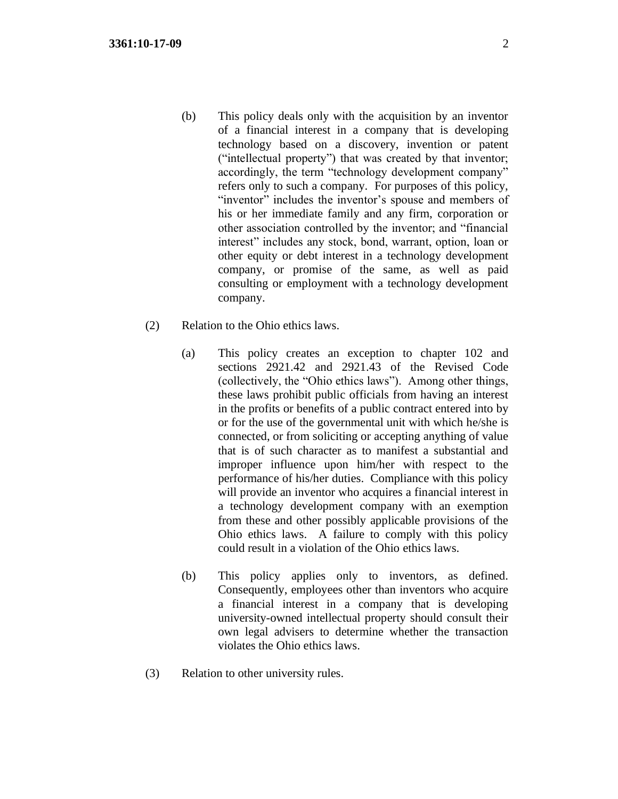- (b) This policy deals only with the acquisition by an inventor of a financial interest in a company that is developing technology based on a discovery, invention or patent ("intellectual property") that was created by that inventor; accordingly, the term "technology development company" refers only to such a company. For purposes of this policy, "inventor" includes the inventor's spouse and members of his or her immediate family and any firm, corporation or other association controlled by the inventor; and "financial interest" includes any stock, bond, warrant, option, loan or other equity or debt interest in a technology development company, or promise of the same, as well as paid consulting or employment with a technology development company.
- (2) Relation to the Ohio ethics laws.
	- (a) This policy creates an exception to chapter 102 and sections 2921.42 and 2921.43 of the Revised Code (collectively, the "Ohio ethics laws"). Among other things, these laws prohibit public officials from having an interest in the profits or benefits of a public contract entered into by or for the use of the governmental unit with which he/she is connected, or from soliciting or accepting anything of value that is of such character as to manifest a substantial and improper influence upon him/her with respect to the performance of his/her duties. Compliance with this policy will provide an inventor who acquires a financial interest in a technology development company with an exemption from these and other possibly applicable provisions of the Ohio ethics laws. A failure to comply with this policy could result in a violation of the Ohio ethics laws.
	- (b) This policy applies only to inventors, as defined. Consequently, employees other than inventors who acquire a financial interest in a company that is developing university-owned intellectual property should consult their own legal advisers to determine whether the transaction violates the Ohio ethics laws.
- (3) Relation to other university rules.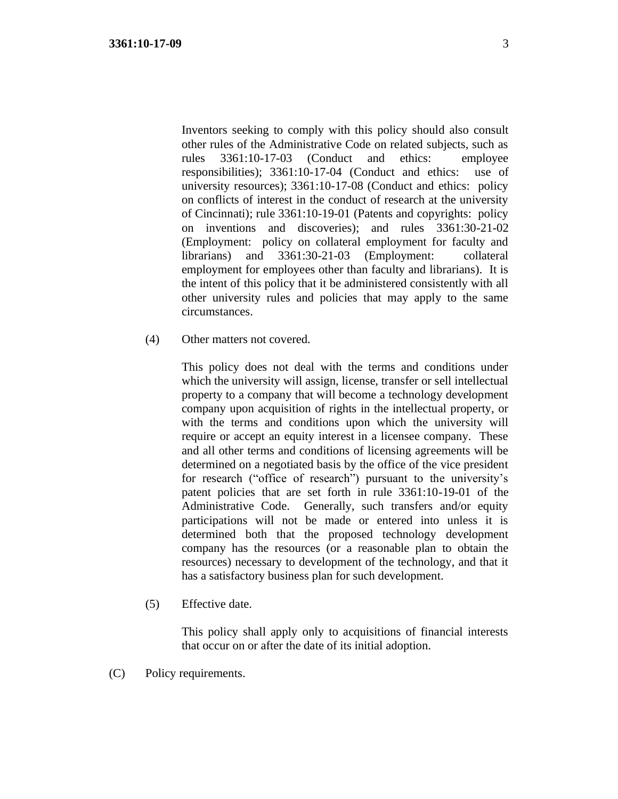Inventors seeking to comply with this policy should also consult other rules of the Administrative Code on related subjects, such as rules 3361:10-17-03 (Conduct and ethics: employee responsibilities); 3361:10-17-04 (Conduct and ethics: use of university resources); 3361:10-17-08 (Conduct and ethics: policy on conflicts of interest in the conduct of research at the university of Cincinnati); rule 3361:10-19-01 (Patents and copyrights: policy on inventions and discoveries); and rules 3361:30-21-02 (Employment: policy on collateral employment for faculty and librarians) and 3361:30-21-03 (Employment: collateral employment for employees other than faculty and librarians). It is the intent of this policy that it be administered consistently with all other university rules and policies that may apply to the same circumstances.

(4) Other matters not covered.

This policy does not deal with the terms and conditions under which the university will assign, license, transfer or sell intellectual property to a company that will become a technology development company upon acquisition of rights in the intellectual property, or with the terms and conditions upon which the university will require or accept an equity interest in a licensee company. These and all other terms and conditions of licensing agreements will be determined on a negotiated basis by the office of the vice president for research ("office of research") pursuant to the university's patent policies that are set forth in rule 3361:10-19-01 of the Administrative Code. Generally, such transfers and/or equity participations will not be made or entered into unless it is determined both that the proposed technology development company has the resources (or a reasonable plan to obtain the resources) necessary to development of the technology, and that it has a satisfactory business plan for such development.

(5) Effective date.

This policy shall apply only to acquisitions of financial interests that occur on or after the date of its initial adoption.

(C) Policy requirements.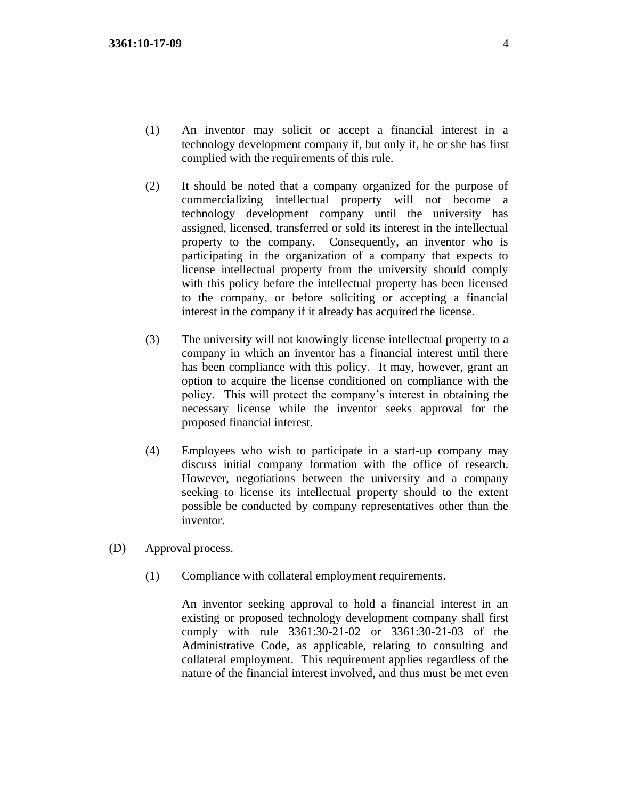- (1) An inventor may solicit or accept a financial interest in a technology development company if, but only if, he or she has first complied with the requirements of this rule.
- (2) It should be noted that a company organized for the purpose of commercializing intellectual property will not become a technology development company until the university has assigned, licensed, transferred or sold its interest in the intellectual property to the company. Consequently, an inventor who is participating in the organization of a company that expects to license intellectual property from the university should comply with this policy before the intellectual property has been licensed to the company, or before soliciting or accepting a financial interest in the company if it already has acquired the license.
- (3) The university will not knowingly license intellectual property to a company in which an inventor has a financial interest until there has been compliance with this policy. It may, however, grant an option to acquire the license conditioned on compliance with the policy. This will protect the company's interest in obtaining the necessary license while the inventor seeks approval for the proposed financial interest.
- (4) Employees who wish to participate in a start-up company may discuss initial company formation with the office of research. However, negotiations between the university and a company seeking to license its intellectual property should to the extent possible be conducted by company representatives other than the inventor.
- (D) Approval process.
	- (1) Compliance with collateral employment requirements.

An inventor seeking approval to hold a financial interest in an existing or proposed technology development company shall first comply with rule 3361:30-21-02 or 3361:30-21-03 of the Administrative Code, as applicable, relating to consulting and collateral employment. This requirement applies regardless of the nature of the financial interest involved, and thus must be met even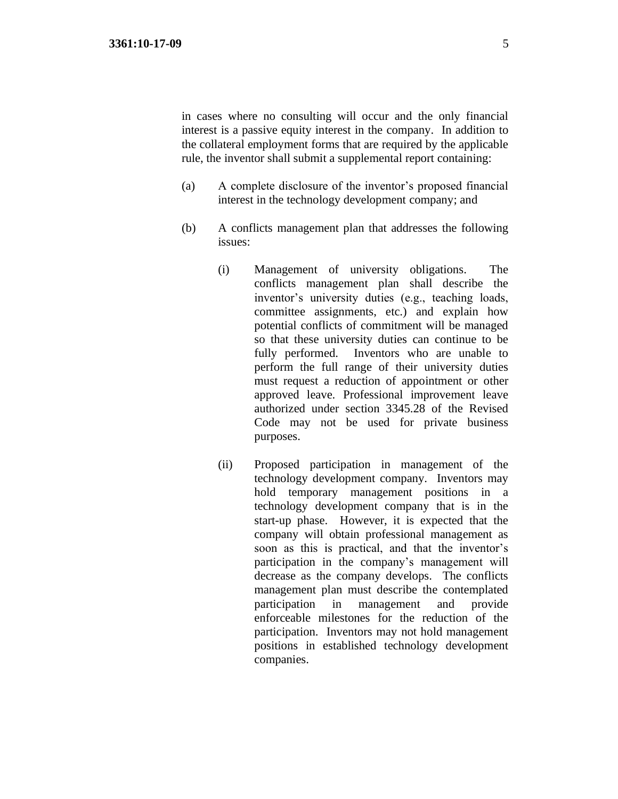in cases where no consulting will occur and the only financial interest is a passive equity interest in the company. In addition to the collateral employment forms that are required by the applicable rule, the inventor shall submit a supplemental report containing:

- (a) A complete disclosure of the inventor's proposed financial interest in the technology development company; and
- (b) A conflicts management plan that addresses the following issues:
	- (i) Management of university obligations. The conflicts management plan shall describe the inventor's university duties (e.g., teaching loads, committee assignments, etc.) and explain how potential conflicts of commitment will be managed so that these university duties can continue to be fully performed. Inventors who are unable to perform the full range of their university duties must request a reduction of appointment or other approved leave. Professional improvement leave authorized under section 3345.28 of the Revised Code may not be used for private business purposes.
	- (ii) Proposed participation in management of the technology development company. Inventors may hold temporary management positions in a technology development company that is in the start-up phase. However, it is expected that the company will obtain professional management as soon as this is practical, and that the inventor's participation in the company's management will decrease as the company develops. The conflicts management plan must describe the contemplated participation in management and provide enforceable milestones for the reduction of the participation. Inventors may not hold management positions in established technology development companies.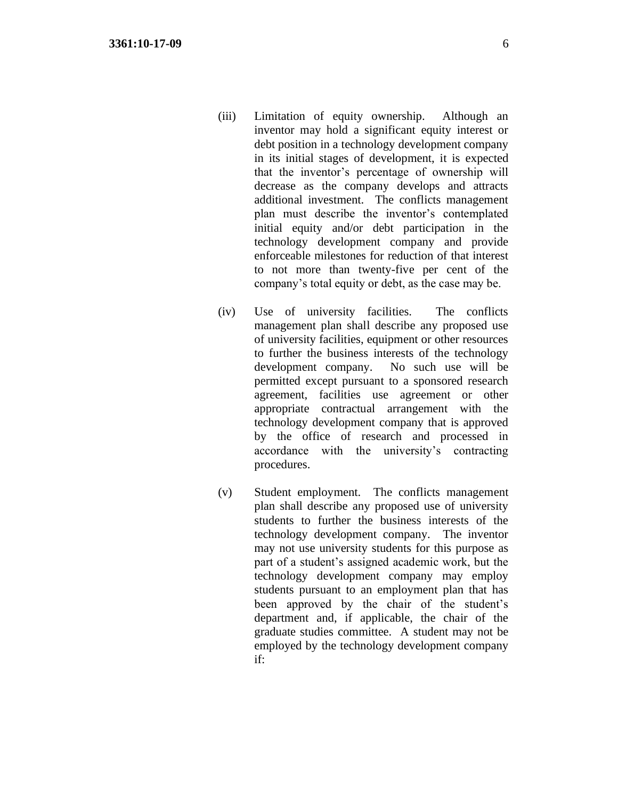- (iii) Limitation of equity ownership. Although an inventor may hold a significant equity interest or debt position in a technology development company in its initial stages of development, it is expected that the inventor's percentage of ownership will decrease as the company develops and attracts additional investment. The conflicts management plan must describe the inventor's contemplated initial equity and/or debt participation in the technology development company and provide enforceable milestones for reduction of that interest to not more than twenty-five per cent of the company's total equity or debt, as the case may be.
- (iv) Use of university facilities. The conflicts management plan shall describe any proposed use of university facilities, equipment or other resources to further the business interests of the technology development company. No such use will be permitted except pursuant to a sponsored research agreement, facilities use agreement or other appropriate contractual arrangement with the technology development company that is approved by the office of research and processed in accordance with the university's contracting procedures.
- (v) Student employment. The conflicts management plan shall describe any proposed use of university students to further the business interests of the technology development company. The inventor may not use university students for this purpose as part of a student's assigned academic work, but the technology development company may employ students pursuant to an employment plan that has been approved by the chair of the student's department and, if applicable, the chair of the graduate studies committee. A student may not be employed by the technology development company if: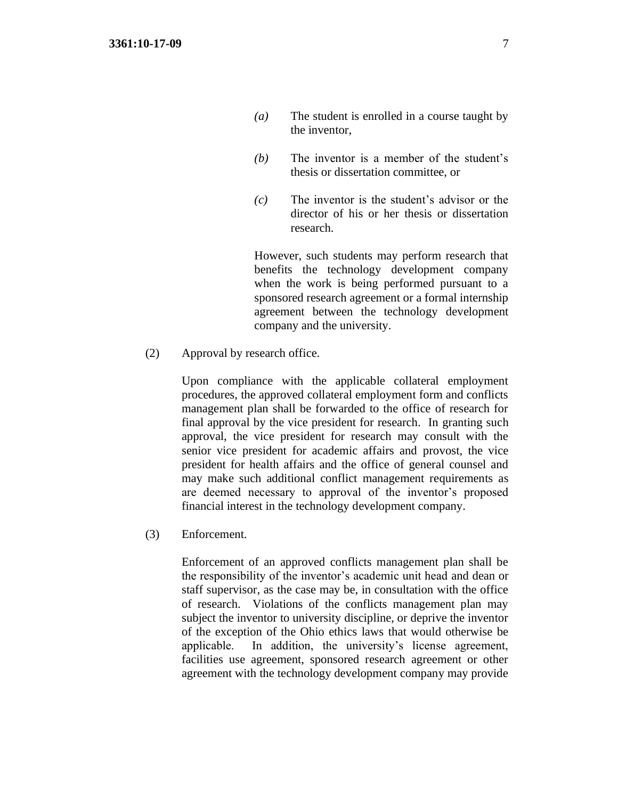- *(a)* The student is enrolled in a course taught by the inventor,
- *(b)* The inventor is a member of the student's thesis or dissertation committee, or
- *(c)* The inventor is the student's advisor or the director of his or her thesis or dissertation research.

However, such students may perform research that benefits the technology development company when the work is being performed pursuant to a sponsored research agreement or a formal internship agreement between the technology development company and the university.

(2) Approval by research office.

Upon compliance with the applicable collateral employment procedures, the approved collateral employment form and conflicts management plan shall be forwarded to the office of research for final approval by the vice president for research. In granting such approval, the vice president for research may consult with the senior vice president for academic affairs and provost, the vice president for health affairs and the office of general counsel and may make such additional conflict management requirements as are deemed necessary to approval of the inventor's proposed financial interest in the technology development company.

(3) Enforcement.

Enforcement of an approved conflicts management plan shall be the responsibility of the inventor's academic unit head and dean or staff supervisor, as the case may be, in consultation with the office of research. Violations of the conflicts management plan may subject the inventor to university discipline, or deprive the inventor of the exception of the Ohio ethics laws that would otherwise be applicable. In addition, the university's license agreement, facilities use agreement, sponsored research agreement or other agreement with the technology development company may provide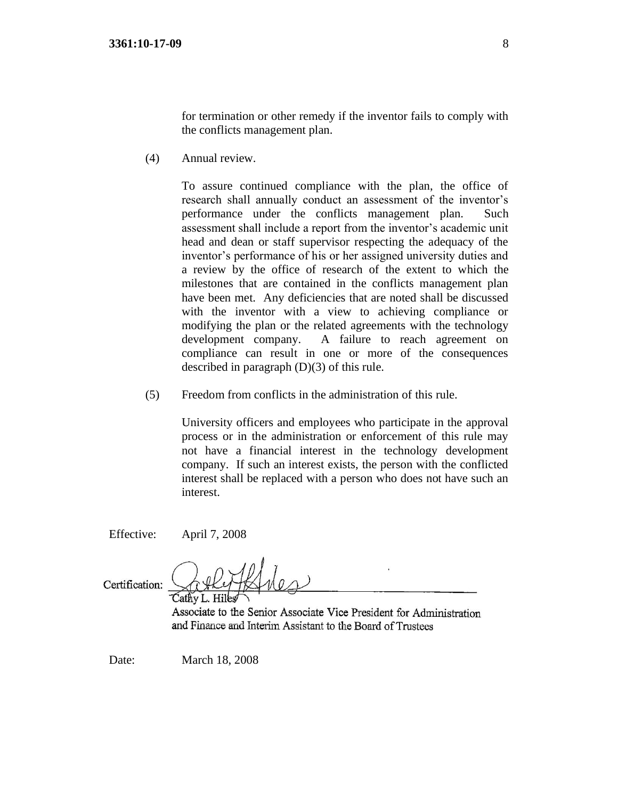for termination or other remedy if the inventor fails to comply with the conflicts management plan.

(4) Annual review.

To assure continued compliance with the plan, the office of research shall annually conduct an assessment of the inventor's performance under the conflicts management plan. Such assessment shall include a report from the inventor's academic unit head and dean or staff supervisor respecting the adequacy of the inventor's performance of his or her assigned university duties and a review by the office of research of the extent to which the milestones that are contained in the conflicts management plan have been met. Any deficiencies that are noted shall be discussed with the inventor with a view to achieving compliance or modifying the plan or the related agreements with the technology development company. A failure to reach agreement on compliance can result in one or more of the consequences described in paragraph (D)(3) of this rule.

(5) Freedom from conflicts in the administration of this rule.

University officers and employees who participate in the approval process or in the administration or enforcement of this rule may not have a financial interest in the technology development company. If such an interest exists, the person with the conflicted interest shall be replaced with a person who does not have such an interest.

Effective: April 7, 2008

Certification: Cathy L. Hiles

Associate to the Senior Associate Vice President for Administration and Finance and Interim Assistant to the Board of Trustees

Date: March 18, 2008